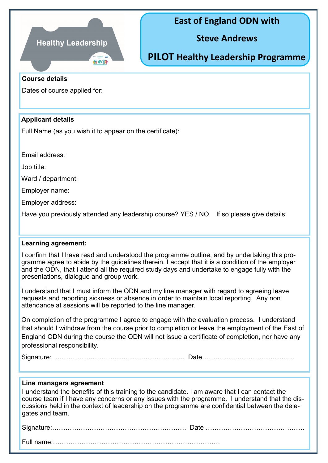

## **East of England ODN with**

**Steve Andrews**

**PILOT Healthy Leadership Programme**

#### **Course details**

Dates of course applied for:

### **Applicant details**

Full Name (as you wish it to appear on the certificate):

Email address:

Job title:

Ward / department:

Employer name:

Employer address:

Have you previously attended any leadership course? YES / NO If so please give details:

#### **Learning agreement:**

I confirm that I have read and understood the programme outline, and by undertaking this programme agree to abide by the guidelines therein. I accept that it is a condition of the employer and the ODN, that I attend all the required study days and undertake to engage fully with the presentations, dialogue and group work.

I understand that I must inform the ODN and my line manager with regard to agreeing leave requests and reporting sickness or absence in order to maintain local reporting. Any non attendance at sessions will be reported to the line manager.

On completion of the programme I agree to engage with the evaluation process. I understand that should I withdraw from the course prior to completion or leave the employment of the East of England ODN during the course the ODN will not issue a certificate of completion, nor have any professional responsibility.

Signature: ……………………………………………….…. Date……………………………………

#### **Line managers agreement**

I understand the benefits of this training to the candidate. I am aware that I can contact the course team if I have any concerns or any issues with the programme. I understand that the discussions held in the context of leadership on the programme are confidential between the delegates and team.

Signature:……………………………………………………. Date ………………………………………

Full name:………………………………………………………………….